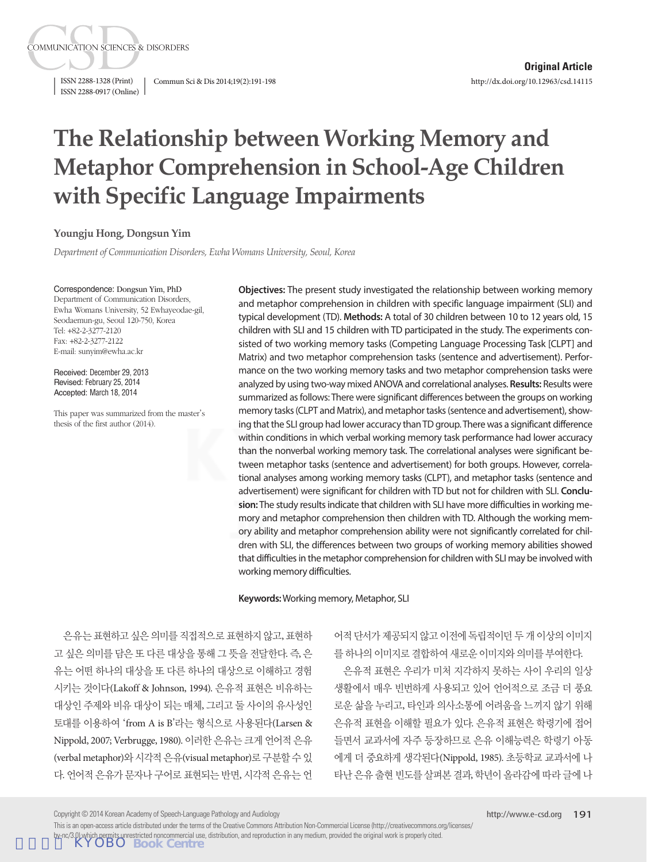ISSN 2288-0917 (Online)

**COMMUNICATION SCIENCES & DISORDERS** 

ISSN 2288-1328 (Print) Commun Sci & Dis 2014;19(2):191-198

# **The Relationship between Working Memory and Metaphor Comprehension in School-Age Children with Specific Language Impairments**

#### **Youngju Hong, Dongsun Yim**

*Department of Communication Disorders, Ewha Womans University, Seoul, Korea*

#### Correspondence: Dongsun Yim, PhD

Department of Communication Disorders, Ewha Womans University, 52 Ewhayeodae-gil, Seodaemun-gu, Seoul 120-750, Korea Tel: +82-2-3277-2120 Fax: +82-2-3277-2122 E-mail: sunyim@ewha.ac.kr

Received: December 29, 2013 Revised: February 25, 2014 Accepted: March 18, 2014

This paper was summarized from the master's thesis of the first author (2014).

**Objectives:** The present study investigated the relationship between working memory and metaphor comprehension in children with specific language impairment (SLI) and typical development (TD). **Methods:** A total of 30 children between 10 to 12 years old, 15 children with SLI and 15 children with TD participated in the study. The experiments consisted of two working memory tasks (Competing Language Processing Task [CLPT] and Matrix) and two metaphor comprehension tasks (sentence and advertisement). Performance on the two working memory tasks and two metaphor comprehension tasks were analyzed by using two-way mixed ANOVA and correlational analyses. **Results:** Results were summarized as follows: There were significant differences between the groups on working memory tasks (CLPT and Matrix), and metaphor tasks (sentence and advertisement), showing that the SLI group had lower accuracy than TD group. There was a significant difference within conditions in which verbal working memory task performance had lower accuracy than the nonverbal working memory task. The correlational analyses were significant between metaphor tasks (sentence and advertisement) for both groups. However, correlational analyses among working memory tasks (CLPT), and metaphor tasks (sentence and advertisement) were significant for children with TD but not for children with SLI. **Conclusion:** The study results indicate that children with SLI have more difficulties in working memory and metaphor comprehension then children with TD. Although the working memory ability and metaphor comprehension ability were not significantly correlated for children with SLI, the differences between two groups of working memory abilities showed that difficulties in the metaphor comprehension for children with SLI may be involved with working memory difficulties.

#### **Keywords:** Working memory, Metaphor, SLI

은유는 표현하고 싶은 의미를 직접적으로 표현하지 않고, 표현하 고 싶은 의미를 담은 또 다른 대상을 통해 그 뜻을 전달한다. 즉, 은 유는 어떤 하나의 대상을 또 다른 하나의 대상으로 이해하고 경험 시키는 것이다(Lakoff & Johnson, 1994). 은유적 표현은 비유하는 대상인 주제와 비유 대상이 되는 매체, 그리고 둘 사이의 유사성인 토대를 이용하여 'from A is B'라는 형식으로 사용된다(Larsen & Nippold, 2007; Verbrugge, 1980). 이러한 은유는 크게 언어적 은유 (verbal metaphor)와시각적은유(visual metaphor)로구분할수있 다. 언어적 은유가 문자나 구어로 표현되는 반면, 시각적 은유는 언

어적 단서가 제공되지 않고 이전에 독립적이던 두 개 이상의 이미지 를하나의이미지로결합하여새로운이미지와의미를부여한다.

은유적 표현은 우리가 미처 지각하지 못하는 사이 우리의 일상 생활에서 매우 빈번하게 사용되고 있어 언어적으로 조금 더 풍요 로운 삶을 누리고, 타인과 의사소통에 어려움을 느끼지 않기 위해 은유적 표현을 이해할 필요가 있다. 은유적 표현은 학령기에 접어 들면서 교과서에 자주 등장하므로 은유 이해능력은 학령기 아동 에게 더 중요하게 생각된다(Nippold, 1985). 초등학교 교과서에 나 타난 은유 출현 빈도를 살펴본 결과, 학년이 올라감에 따라 글에 나

Copyright © 2014 Korean Academy of Speech-Language Pathology and Audiology

This is an open-access article distributed under the terms of the Creative Commons Attribution Non-Commercial License (http://creativecommons.org/licenses/ by-nc/3.0) which permits unrestricted noncommercial use, distribution, and reproduction in any medium, provided the original work is properly cited.<br>**KYOBO BOOK Centre**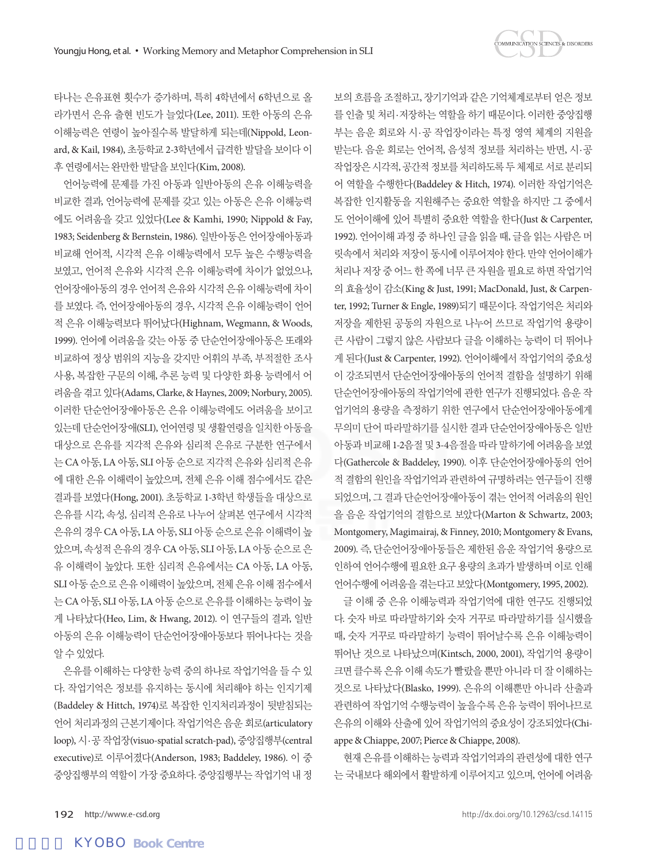타나는 은유표현 횟수가 증가하며, 특히 4학년에서 6학년으로 올 라가면서 은유 출현 빈도가 늘었다(Lee, 2011). 또한 아동의 은유 이해능력은 연령이 높아질수록 발달하게 되는데(Nippold, Leonard, & Kail, 1984), 초등학교 2-3학년에서 급격한 발달을 보이다 이 후 연령에서는 와만한 발달을 보인다(Kim, 2008).

언어능력에 문제를 가진 아동과 일반아동의 은유 이해능력을 비교한 결과, 언어능력에 문제를 갖고 있는 아동은 은유 이해능력 에도 어려움을 갖고 있었다(Lee & Kamhi, 1990; Nippold & Fay, 1983; Seidenberg & Bernstein, 1986). 일반아동은 언어장애아동과 비교해 언어적, 시각적 은유 이해능력에서 모두 높은 수행능력을 보였고, 언어적 은유와 시각적 은유 이해능력에 차이가 없었으나, 언어장애아동의 경우 언어적 은유와 시각적 은유 이해능력에 차이 를 보였다. 즉, 언어장애아동의 경우, 시각적 은유 이해능력이 언어 적 은유 이해능력보다 뛰어났다(Highnam, Wegmann, & Woods, 1999). 언어에 어려움을 갖는 아동 중 단순언어장애아동은 또래와 비교하여 정상 범위의 지능을 갖지만 어휘의 부족, 부적절한 조사 사용, 복잡한 구문의 이해, 추론 능력 및 다양한 화용 능력에서 어 려움을겪고있다(Adams, Clarke, & Haynes, 2009; Norbury, 2005). 이러한 단순언어장애아동은 은유 이해능력에도 어려움을 보이고 있는데 단순언어장애(SLI), 언어연령 및 생활연령을 일치한 아동을 대상으로 은유를 지각적 은유와 심리적 은유로 구분한 연구에서 는 CA 아동, LA 아동, SLI 아동 순으로 지각적 은유와 심리적 은유 에 대한 은유 이해력이 높았으며, 전체 은유 이해 점수에서도 같은 결과를 보였다(Hong, 2001). 초등학교 1-3학년 학생들을 대상으로 은유를 시각, 속성, 심리적 은유로 나누어 살펴본 연구에서 시각적 은유의 경우 CA 아동, LA 아동, SLI 아동 순으로 은유 이해력이 높 았으며, 속성적 은유의 경우 CA 아동, SLI 아동, LA 아동 순으로 은 유 이해력이 높았다. 또한 심리적 은유에서는 CA 아동, LA 아동, SLI 아동순으로은유이해력이높았으며, 전체은유이해점수에서 는 CA 아동, SLI 아동, LA 아동 순으로 은유를 이해하는 능력이 높 게 나타났다(Heo, Lim, & Hwang, 2012). 이 연구들의 결과, 일반 아동의 은유 이해능력이 단순언어장애아동보다 뛰어나다는 것을 알수있었다.

은유를 이해하는 다양한 능력 중의 하나로 작업기억을 들 수 있 다. 작업기억은 정보를 유지하는 동시에 처리해야 하는 인지기제 (Baddeley & Hittch, 1974)로 복잡한 인지처리과정이 뒷받침되는 언어 처리과정의 근본기제이다. 작업기억은 음운 회로(articulatory loop), 시·공 작업장(visuo-spatial scratch-pad), 중앙집행부(central executive)로 이루어졌다(Anderson, 1983; Baddeley, 1986). 이 중 중앙집행부의 역할이 가장 중요하다. 중앙집행부는 작업기억 내 정 보의 흐름을 조절하고, 장기기억과 같은 기억체계로부터 얻은 정보 를 인출 및 처리·저장하는 역할을 하기 때문이다. 이러한 중앙집행 부는 음운 회로와 시·공 작업장이라는 특정 영역 체계의 지원을 받는다. 음운 회로는 언어적, 음성적 정보를 처리하는 반면, 시·공 작업장은 시각적, 공간적 정보를 처리하도록 두 체제로 서로 부리되 어 역할을 수행한다(Baddeley & Hitch, 1974). 이러한 작업기억은 복잡한 인지활동을 지원해주는 중요한 역할을 하지만 그 중에서 도 언어이해에 있어 특별히 중요한 역할을 한다(Just & Carpenter, 1992). 언어이해 과정 중 하나인 글을 읽을 때, 글을 읽는 사람은 머 릿속에서 처리와 저장이 동시에 이루어져야 한다. 만약 언어이해가 처리나 저장 중 어느 한 쪽에 너무 큰 자원을 필요로 하면 작업기억 의 효율성이 감소(King & Just, 1991; MacDonald, Just, & Carpenter, 1992; Turner & Engle, 1989)되기 때문이다. 작업기억은 처리와 저장을 제한된 공동의 자원으로 나누어 쓰므로 작업기억 용량이 큰 사람이 그렇지 않은 사람보다 글을 이해하는 능력이 더 뛰어나 게 된다(Just & Carpenter, 1992). 언어이해에서 작업기억의 중요성 이 강조되면서 단순언어장애아동의 언어적 결함을 설명하기 위해 단순언어장애아동의 작업기억에 관한 연구가 진행되었다. 음운 작 업기억의 용량을 측정하기 위한 연구에서 단순언어장애아동에게 무의미 단어 따라말하기를 실시한 결과 단순언어장애아동은 일반 아동과 비교해 1-2음절 및 3-4음절을 따라 말하기에 어려움을 보였 다(Gathercole & Baddeley, 1990). 이후 단순언어장애아동의 언어 적 결함의 원인을 작업기억과 관련하여 규명하려는 연구들이 진행 되었으며, 그 결과 단순언어장애아동이 겪는 언어적 어려움의 원인 을 음운 작업기억의 결함으로 보았다(Marton & Schwartz, 2003; Montgomery, Magimairaj, & Finney, 2010; Montgomery & Evans, 2009). 즉, 단순언어장애아동들은 제한된 음운 작업기억 용량으로 인하여 언어수행에 필요한 요구 용량의 초과가 발생하며 이로 인해 언어수행에 어려움을 겪는다고 보았다(Montgomery, 1995, 2002).

글 이해 중 은유 이해능력과 작업기억에 대한 연구도 진행되었 다. 숫자 바로 따라말하기와 숫자 거꾸로 따라말하기를 실시했을 때, 숫자 거꾸로 따라말하기 능력이 뛰어날수록 은유 이해능력이 뛰어난 것으로 나타났으며(Kintsch, 2000, 2001), 작업기억 용량이 크면 클수록 은유 이해 속도가 빨랐을 뿐만 아니라 더 잘 이해하는 것으로 나타났다(Blasko, 1999). 은유의 이해뿐만 아니라 산출과 관련하여 작업기억 수행능력이 높을수록 은유 능력이 뛰어나므로 은유의 이해와 산출에 있어 작업기억의 중요성이 강조되었다(Chiappe & Chiappe, 2007; Pierce & Chiappe, 2008).

현재 은유를 이해하는 능력과 작업기억과의 관련성에 대한 연구 는 국내보다 해외에서 활발하게 이루어지고 있으며, 언어에 어려움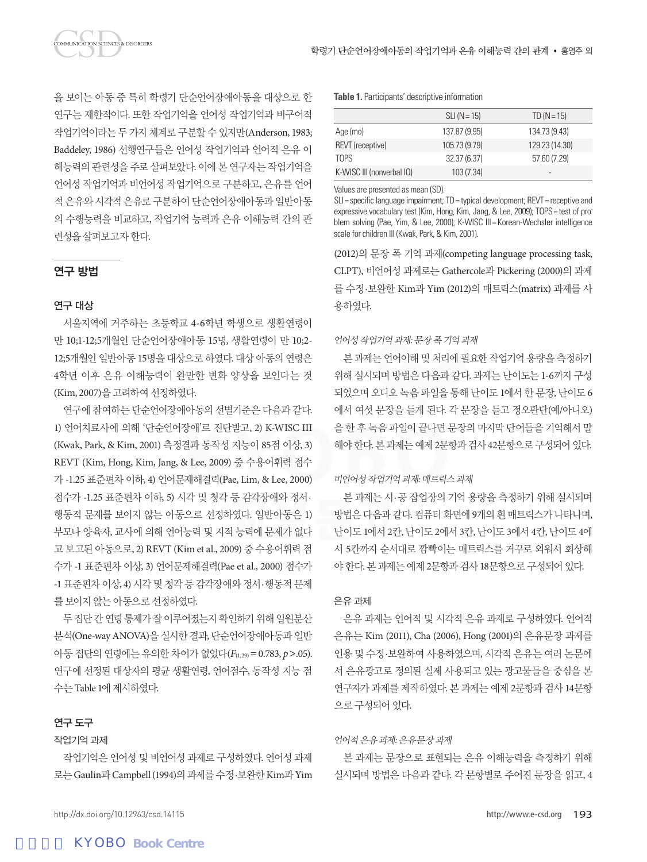을 보이는 아동 중 특히 학령기 단순언어장애아동을 대상으로 한 연구는 제한적이다. 또한 작업기억을 언어성 작업기억과 비구어적 작업기억이라는 두 가지 체계로 구분할 수 있지만(Anderson, 1983; Baddeley, 1986) 선행연구들은 언어성 작업기억과 언어적 은유 이 해능력의 관련성을 주로 살펴보았다. 이에 본 연구자는 작업기억을 언어성 작업기억과 비언어성 작업기억으로 구분하고, 은유를 언어 적 은유와 시각적 은유로 구분하여 단순언어장애아동과 일반아동 의 수행능력을 비교하고, 작업기억 능력과 은유 이해능력 간의 관

# 연구 방법

련성을살펴보고자한다.

**OMMUNICATION SCIENCES & DISORDERS** 

# 연구 대상

서울지역에 거주하는 초등학교 4-6학년 학생으로 생활연령이 만 10;1-12;5개월인 단순언어장애아동 15명, 생활연령이 만 10;2- 12;5개월인 일반아동 15명을 대상으로 하였다. 대상 아동의 연령은 4학년 이후 은유 이해능력이 완만한 변화 양상을 보인다는 것 (Kim, 2007)을 고려하여 선정하였다.

연구에 참여하는 단순언어장애아동의 선별기준은 다음과 같다. 1) 언어치료사에 의해 '단순언어장애'로 진단받고, 2) K-WISC III (Kwak, Park, & Kim, 2001) 측정결과 동작성 지능이 85점 이상, 3) REVT (Kim, Hong, Kim, Jang, & Lee, 2009) 중 수용어휘력 점수 가 -1.25 표준편차 이하, 4) 언어문제해결력(Pae, Lim, & Lee, 2000) 점수가 -1.25 표준편차 이하, 5) 시각 및 청각 등 감각장애와 정서· 행동적 문제를 보이지 않는 아동으로 선정하였다. 일반아동은 1) 부모나 양육자, 교사에 의해 언어능력 및 지적 능력에 문제가 없다 고 보고된 아동으로, 2) REVT (Kim et al., 2009) 중 수용어휘력 점 수가 -1 표준편차 이상, 3) 언어문제해결력(Pae et al., 2000) 점수가 -1 표준편차 이상, 4) 시각 및 청각 등 감각장애와 정서·행동적 문제 를보이지않는아동으로선정하였다.

두 집단 간 연령 통제가 잘 이루어졌는지 확인하기 위해 일원분산 분석(One-way ANOVA)을 실시한 결과, 단순언어장애아동과 일반 아동 집단의 연령에는 유의한 차이가 없었다(*F*(1,29)= 0.783, *p*>.05). 연구에 선정된 대상자의 평균 생활연령, 언어점수, 동작성 지능 점 수는 Table 1에 제시하였다.

#### 연구 도구

## 작업기억 과제

작업기억은 언어성 및 비언어성 과제로 구성하였다. 언어성 과제 로는 Gaulin과 Campbell (1994)의과제를수정·보완한 Kim과 Yim **Table 1.** Participants' descriptive information

|                           | $SLI(N = 15)$ | $TD (N = 15)$            |
|---------------------------|---------------|--------------------------|
| Age (mo)                  | 137.87 (9.95) | 134.73 (9.43)            |
| REVT (receptive)          | 105.73 (9.79) | 129.23 (14.30)           |
| TOPS                      | 32.37 (6.37)  | 57.60 (7.29)             |
| K-WISC III (nonverbal IQ) | 103 (7.34)    | $\overline{\phantom{a}}$ |
|                           |               |                          |

Values are presented as mean (SD).

SLI= specific language impairment; TD= typical development; REVT= receptive and expressive vocabulary test (Kim, Hong, Kim, Jang, & Lee, 2009); TOPS= test of problem solving (Pae, Yim, & Lee, 2000); K-WISC III= Korean-Wechsler intelligence scale for children III (Kwak, Park, & Kim, 2001).

(2012)의 문장 폭 기억 과제(competing language processing task, CLPT), 비언어성 과제로는 Gathercole과 Pickering (2000)의 과제 를 수정·보완한 Kim과 Yim (2012)의 매트릭스(matrix) 과제를 사 용하였다.

#### 언어성작업기억과제: 문장폭기억과제

본 과제는 언어이해 및 처리에 필요한 작업기억 용량을 측정하기 위해 실시되며 방법은 다음과 같다. 과제는 난이도는 1-6까지 구성 되었으며 오디오 녹음 파일을 통해 난이도 1에서 한 문장, 난이도 6 에서 여섯 문장을 듣게 된다. 각 문장을 듣고 정오판단(예/아니오) 을 한 후 녹음 파일이 끝나면 문장의 마지막 단어들을 기억해서 말 해야한다. 본과제는예제 2문항과검사 42문항으로구성되어있다.

#### 비언어성작업기억과제: 매트릭스과제

본 과제는 시·공 잡업장의 기억 용량을 측정하기 위해 실시되며 방법은 다음과 같다. 컴퓨터 화면에 9개의 흰 매트릭스가 나타나며, 난이도 1에서 2칸, 난이도 2에서 3칸, 난이도 3에서 4칸, 난이도 4에 서 5칸까지 순서대로 깜빡이는 매트릭스를 거꾸로 외워서 회상해 야한다. 본과제는예제 2문항과검사 18문항으로구성되어있다.

#### 은유 과제

은유 과제는 언어적 및 시각적 은유 과제로 구성하였다. 언어적 은유는 Kim (2011), Cha (2006), Hong (2001)의 은유문장 과제를 인용 및 수정·보완하여 사용하였으며, 시각적 은유는 여러 논문에 서 은유광고로 정의된 실제 사용되고 있는 광고물들을 중심을 본 연구자가 과제를 제작하였다. 본 과제는 예제 2문항과 검사 14문항 으로구성되어있다.

#### 언어적은유과제: 은유문장과제

본 과제는 문장으로 표현되는 은유 이해능력을 측정하기 위해 실시되며 방법은 다음과 같다. 각 문항별로 주어진 문장을 읽고, 4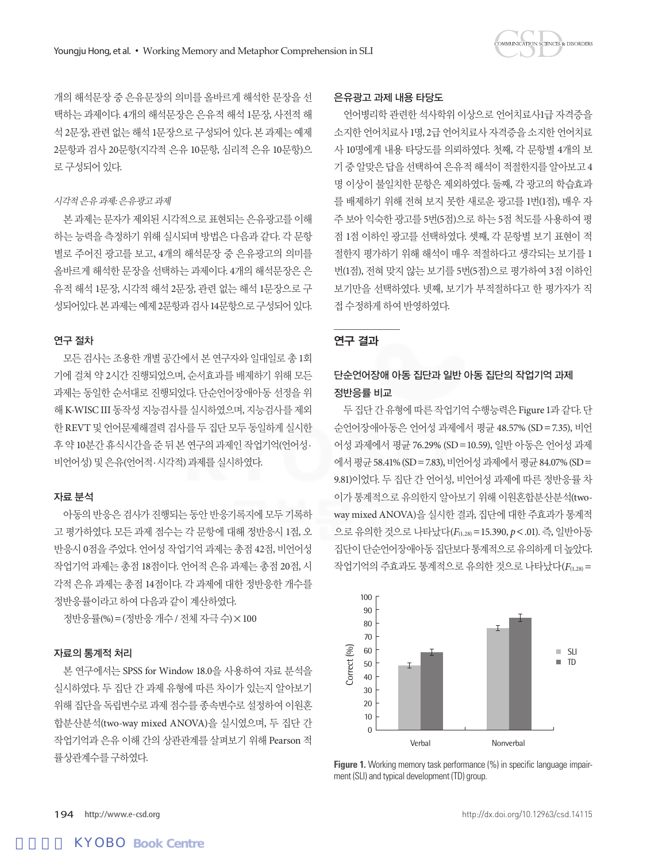개의 해석문장 중 은유문장의 의미를 올바르게 해석한 문장을 선 택하는 과제이다. 4개의 해석문장은 은유적 해석 1문장, 사전적 해 석 2문장, 관련 없는 해석 1문장으로 구성되어 있다. 본 과제는 예제 2문항과 검사 20문항(지각적 은유 10문항, 심리적 은유 10문항)으 로 구성되어 있다.

#### 시각적은유과제: 은유광고과제

본 과제는 문자가 제외된 시각적으로 표현되는 은유광고를 이해 하는 능력을 측정하기 위해 실시되며 방법은 다음과 같다. 각 문항 별로 주어진 광고를 보고, 4개의 해석문장 중 은유광고의 의미를 올바르게 해석한 문장을 선택하는 과제이다. 4개의 해석문장은 은 유적 해석 1문장, 시각적 해석 2문장, 관련 없는 해석 1문장으로 구 성되어있다. 본과제는예제 2문항과검사 14문항으로구성되어있다.

### 연구 절차

모든 검사는 조용한 개별 공간에서 본 연구자와 일대일로 총 1회 기에 걸쳐 약 2시간 진행되었으며, 순서효과를 배제하기 위해 모든 과제는 동일한 순서대로 진행되었다. 단순언어장애아동 선정을 위 해 K-WISC III 동작성 지능검사를 실시하였으며, 지능검사를 제외 한 REVT 및 언어문제해결력 검사를 두 집단 모두 동일하게 실시한 후 약 10분간 휴식시간을 준 뒤 본 연구의 과제인 작업기억(언어성· 비언어성) 및은유(언어적·시각적) 과제를실시하였다.

### 자료 분석

아동의 반응은 검사가 진행되는 동안 반응기록지에 모두 기록하 고 평가하였다. 모든 과제 점수는 각 문항에 대해 정반응시 1점, 오 반응시 0점을 주었다. 언어성 작업기억 과제는 총점 42점, 비언어성 작업기억 과제는 총점 18점이다. 언어적 은유 과제는 총점 20점, 시 각적 은유 과제는 총점 14점이다. 각 과제에 대한 정반응한 개수를 정반응률이라고하여다음과같이계산하였다.

정반응률(%)=(정반응개수 / 전체자극수)×100

## 자료의 통계적 처리

본 연구에서는 SPSS for Window 18.0을 사용하여 자료 분석을 실시하였다. 두 집단 간 과제 유형에 따른 차이가 있는지 알아보기 위해 집단을 독립변수로 과제 점수를 종속변수로 설정하여 이원혼 합분산분석(two-way mixed ANOVA)을 실시였으며, 두 집단 간 작업기억과 은유 이해 간의 상관관계를 살펴보기 위해 Pearson 적 률상관계수를구하였다.

#### 은유광고 과제 내용 타당도

언어병리학 관련한 석사학위 이상으로 언어치료사1급 자격증을 소지한 언어치료사 1명, 2급 언어치료사 자격증을 소지한 언어치료 사 10명에게 내용 타당도를 의뢰하였다. 첫째, 각 문항별 4개의 보 기 중 알맞은 답을 선택하여 은유적 해석이 적절한지를 알아보고 4 명 이상이 불일치한 문항은 제외하였다. 둘째, 각 광고의 학습효과 를 배제하기 위해 전혀 보지 못한 새로운 광고를 1번(1점), 매우 자 주 보아 익숙한 광고를 5번(5점)으로 하는 5점 척도를 사용하여 평 점 1점 이하인 광고를 선택하였다. 셋째, 각 문항별 보기 표현이 적 절한지 평가하기 위해 해석이 매우 적절하다고 생각되는 보기를 1 번(1점), 전혀 맞지 않는 보기를 5번(5점)으로 평가하여 3점 이하인 보기만을 선택하였다. 넷째, 보기가 부적절하다고 한 평가자가 직 접수정하게하여반영하였다.

## 연구 결과

# 단순언어장애 아동 집단과 일반 아동 집단의 작업기억 과제 정반응률 비교

두 집단 간 유형에 따른 작업기억 수행능력은 Figure 1과 같다. 단 순언어장애아동은 언어성 과제에서 평균 48.57% (SD=7.35), 비언 어성 과제에서 평균 76.29% (SD=10.59), 일반 아동은 언어성 과제 에서 평균 58.41% (SD = 7.83), 비언어성 과제에서 평균 84.07% (SD = 9.81)이었다. 두 집단 간 언어성, 비언어성 과제에 따른 정반응률 차 이가 통계적으로 유의한지 알아보기 위해 이원혼합분산분석(twoway mixed ANOVA)을 실시한 결과, 집단에 대한 주효과가 통계적 으로 유의한 것으로 나타났다(*F*(1,28)=15.390, *p*<.01). 즉, 일반아동 집단이단순언어장애아동집단보다통계적으로유의하게더높았다. 작업기억의 주효과도 통계적으로 유의한 것으로 나타났다(*F*(1,28)=



**Figure 1.** Working memory task performance (%) in specific language impairment (SLI) and typical development (TD) group.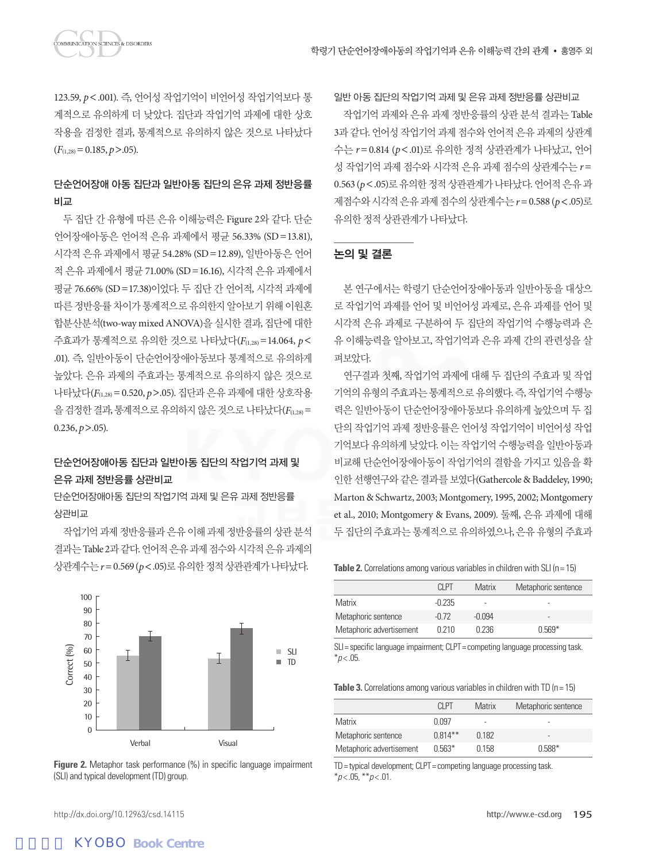123.59, p<.001). 즉, 언어성 작업기억이 비언어성 작업기억보다 통 계적으로 유의하게 더 낮았다. 집단과 작업기억 과제에 대한 상호 작용을 검정한 결과, 통계적으로 유의하지 않은 것으로 나타났다  $(F_{(1,28)}=0.185, p>0.05).$ 

# 단순언어장애 아동 집단과 일반아동 집단의 은유 과제 정반응률 비교

두 집단 간 유형에 따른 은유 이해능력은 Figure 2와 같다. 단순 언어장애아동은 언어적 은유 과제에서 평균 56.33% (SD=13.81), 시각적 은유 과제에서 평균 54.28% (SD=12.89), 일반아동은 언어 적 은유 과제에서 평균 71.00% (SD=16.16), 시각적 은유 과제에서 평균 76.66% (SD=17.38)이었다. 두 집단 간 언어적, 시각적 과제에 따른 정반응률 차이가 통계적으로 유의한지 알아보기 위해 이원혼 합분산분석(two-way mixed ANOVA)을 실시한 결과, 집단에 대한 주효과가 통계적으로 유의한 것으로 나타났다(*F*(1,28)=14.064, *p*< .01). 즉, 일반아동이 단순언어장애아동보다 통계적으로 유의하게 높았다. 은유 과제의 주효과는 통계적으로 유의하지 않은 것으로 나타났다(*F*(1,28)= 0.520, *p*>.05). 집단과 은유 과제에 대한 상호작용 을검정한결과, 통계적으로유의하지않은것으로나타났다(*F*(1,28)=  $0.236, p > .05$ ).

# 단순언어장애아동 집단과 일반아동 집단의 작업기억 과제 및 은유 과제 정반응률 상관비교

단순언어장애아동 집단의 작업기억 과제 및 은유 과제 정반응률 상관비교

작업기억 과제 정반응률과 은유 이해 과제 정반응률의 상관 분석 결과는 Table 2과같다. 언어적은유과제점수와시각적은유과제의 상관계수는*r*=0.569 (*p*<.05)로유의한정적상관관계가나타났다.



**Figure 2.** Metaphor task performance (%) in specific language impairment (SLI) and typical development (TD) group.

일반 아동 집단의 작업기억 과제 및 은유 과제 정반응률 상관비교 작업기억 과제와 은유 과제 정반응률의 상관 분석 결과는 Table 3과 같다. 언어성 작업기억 과제 점수와 언어적 은유 과제의 상관계 수는 *r*= 0.814 (*p*<.01)로 유의한 정적 상관관계가 나타났고, 언어 성 작업기억 과제 점수와 시각적 은유 과제 점수의 상관계수는 *r*= 0.563 (p < .05)로 유의한 정적 상관관계가 나타났다. 언어적 은유 과 제점수와시각적은유과제점수의상관계수는*r*= 0.588 (*p*<.05)로 유의한정적상관관계가나타났다.

## 논의 및 결론

본 연구에서는 학령기 단순언어장애아동과 일반아동을 대상으 로 작업기억 과제를 언어 및 비언어성 과제로, 은유 과제를 언어 및 시각적 은유 과제로 구분하여 두 집단의 작업기억 수행능력과 은 유 이해능력을 알아보고, 작업기억과 은유 과제 간의 관련성을 살 펴보았다.

연구결과 첫째, 작업기억 과제에 대해 두 집단의 주효과 및 작업 기억의유형의주효과는통계적으로유의했다. 즉, 작업기억수행능 력은 일반아동이 단순언어장애아동보다 유의하게 높았으며 두 집 단의 작업기억 과제 정반응률은 언어성 작업기억이 비언어성 작업 기억보다 유의하게 낮았다. 이는 작업기억 수행능력을 일반아동과 비교해 단순언어장애아동이 작업기억의 결함을 가지고 있음을 확 인한 선행연구와 같은 결과를 보였다(Gathercole & Baddeley, 1990; Marton & Schwartz, 2003; Montgomery, 1995, 2002; Montgomery et al., 2010; Montgomery & Evans, 2009). 둘째, 은유 과제에 대해 두 집단의 주효과는 통계적으로 유의하였으나, 은유 유형의 주효과

**Table 2.** Correlations among various variables in children with SLI (n = 15)

|                          | CI PT    | <b>Matrix</b> | Metaphoric sentence |
|--------------------------|----------|---------------|---------------------|
| Matrix                   | $-0.235$ | ۰             | ۰                   |
| Metaphoric sentence      | $-0.72$  | -0.094        | -                   |
| Metaphoric advertisement | 0.210    | 0.236         | $0.569*$            |

SLI= specific language impairment; CLPT= competing language processing task  $*_{p<.05}$ 

**Table 3.** Correlations among various variables in children with TD (n = 15)

|                          | CI PT      | Matrix | Metaphoric sentence |
|--------------------------|------------|--------|---------------------|
| Matrix                   | በ በ97      | ۰      | ۰                   |
| Metaphoric sentence      | $0.814***$ | 0.182  | -                   |
| Metaphoric advertisement | $0.563*$   | 0.158  | $0.588*$            |

TD= typical development; CLPT= competing language processing task. \**p* < .05, \*\**p* < .01.

http://dx.doi.org/10.12963/csd.14115 http://www.e-csd.org 195

# **KYOBO Book Centre**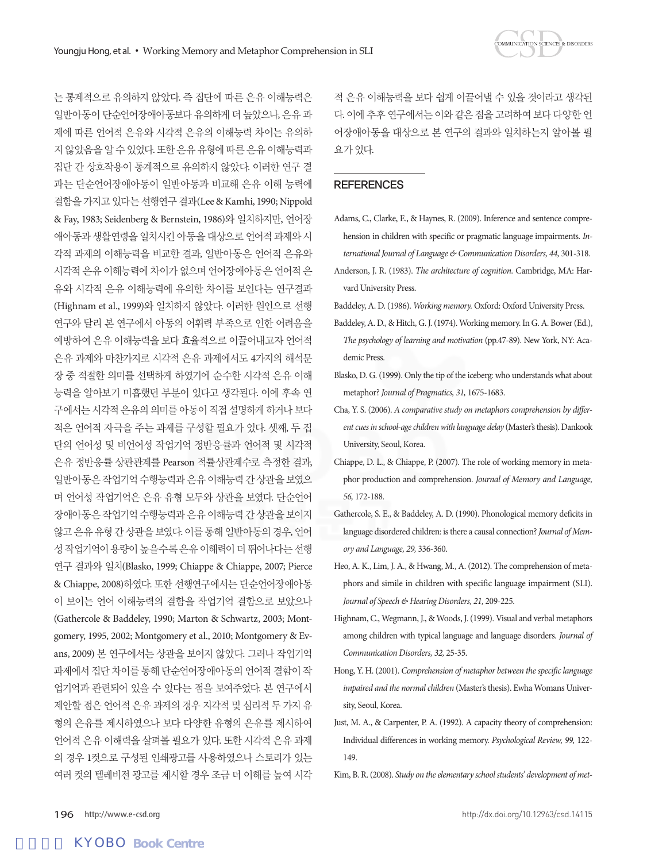는 통계적으로 유의하지 않았다. 즉 집단에 따른 은유 이해능력은 일반아동이 단순언어장애아동보다 유의하게 더 높았으나, 은유 과 제에 따른 언어적 은유와 시각적 은유의 이해능력 차이는 유의하 지 않았음을 알 수 있었다. 또한 은유 유형에 따른 은유 이해능력과 집단 간 상호작용이 통계적으로 유의하지 않았다. 이러한 연구 결 과는 단순언어장애아동이 일반아동과 비교해 은유 이해 능력에 결함을 가지고 있다는 선행연구 결과(Lee & Kamhi, 1990; Nippold & Fay, 1983; Seidenberg & Bernstein, 1986)와 일치하지만, 언어장 애아동과 생활연령을 일치시킨 아동을 대상으로 언어적 과제와 시 각적 과제의 이해능력을 비교한 결과, 일반아동은 언어적 은유와 시각적 은유 이해능력에 차이가 없으며 언어장애아동은 언어적 은 유와 시각적 은유 이해능력에 유의한 차이를 보인다는 연구결과 (Highnam et al., 1999)와 일치하지 않았다. 이러한 원인으로 선행 연구와 달리 본 연구에서 아동의 어휘력 부족으로 인한 어려움을 예방하여 은유 이해능력을 보다 효율적으로 이끌어내고자 언어적 은유 과제와 마찬가지로 시각적 은유 과제에서도 4가지의 해석문 장 중 적절한 의미를 선택하게 하였기에 순수한 시각적 은유 이해 능력을 알아보기 미흡했던 부분이 있다고 생각된다. 이에 후속 연 구에서는 시각적 은유의 의미를 아동이 직접 설명하게 하거나 보다 적은 언어적 자극을 주는 과제를 구성할 필요가 있다. 셋째, 두 집 단의 언어성 및 비언어성 작업기억 정반응률과 언어적 및 시각적 은유 정반응률 상관관계를 Pearson 적률상관계수로 측정한 결과, 일반아동은 작업기억 수행능력과 은유 이해능력 간 상관을 보였으 며 언어성 작업기억은 은유 유형 모두와 상관을 보였다. 단순언어 장애아동은 작업기억 수행능력과은유이해능력 간상관을보이지 않고 은유 유형 간 상관을 보였다. 이를 통해 일반아동의 경우, 언어 성 작업기억이 용량이 높을수록 은유 이해력이 더 뛰어나다는 선행 연구 결과와 일치(Blasko, 1999; Chiappe & Chiappe, 2007; Pierce & Chiappe, 2008)하였다. 또한 선행연구에서는 단순언어장애아동 이 보이는 언어 이해능력의 결함을 작업기억 결함으로 보았으나 (Gathercole & Baddeley, 1990; Marton & Schwartz, 2003; Montgomery, 1995, 2002; Montgomery et al., 2010; Montgomery & Evans, 2009) 본 연구에서는 상관을 보이지 않았다. 그러나 작업기억 과제에서 집단 차이를 통해 단순언어장애아동의 언어적 결함이 작 업기억과 관련되어 있을 수 있다는 점을 보여주었다. 본 연구에서 제안할 점은 언어적 은유 과제의 경우 지각적 및 심리적 두 가지 유 형의 은유를 제시하였으나 보다 다양한 유형의 은유를 제시하여 언어적 은유 이해력을 살펴볼 필요가 있다. 또한 시각적 은유 과제 의 경우 1컷으로 구성된 인쇄광고를 사용하였으나 스토리가 있는 여러 컷의 텔레비전 광고를 제시할 경우 조금 더 이해를 높여 시각

적 은유 이해능력을 보다 쉽게 이끌어낼 수 있을 것이라고 생각된 다. 이에 추후 연구에서는 이와 같은 점을 고려하여 보다 다양한 언 어장애아동을 대상으로 본 연구의 결과와 일치하는지 알아볼 필 요가있다.

#### **REFERENCES**

- Adams, C., Clarke, E., & Haynes, R. (2009). Inference and sentence comprehension in children with specific or pragmatic language impairments. *International Journal of Language & Communication Disorders, 44,* 301-318.
- Anderson, J. R. (1983). *The architecture of cognition.* Cambridge, MA: Harvard University Press.
- Baddeley, A. D. (1986). *Working memory.* Oxford: Oxford University Press.
- Baddeley, A. D., & Hitch, G. J. (1974). Working memory. In G. A. Bower (Ed.), *The psychology of learning and motivation* (pp.47-89). New York, NY: Academic Press.
- Blasko, D. G. (1999). Only the tip of the iceberg: who understands what about metaphor? *Journal of Pragmatics, 31,* 1675-1683.
- Cha, Y. S. (2006). *A comparative study on metaphors comprehension by different cues in school-age children with language delay* (Master's thesis). Dankook University, Seoul, Korea.
- Chiappe, D. L., & Chiappe, P. (2007). The role of working memory in metaphor production and comprehension. *Journal of Memory and Language, 56,* 172-188.
- Gathercole, S. E., & Baddeley, A. D. (1990). Phonological memory deficits in language disordered children: is there a causal connection? *Journal of Memory and Language, 29,* 336-360.
- Heo, A. K., Lim, J. A., & Hwang, M., A. (2012). The comprehension of metaphors and simile in children with specific language impairment (SLI). *Journal of Speech & Hearing Disorders, 21,* 209-225.
- Highnam, C., Wegmann, J., & Woods, J. (1999). Visual and verbal metaphors among children with typical language and language disorders. *Journal of Communication Disorders, 32,* 25-35.
- Hong, Y. H. (2001). *Comprehension of metaphor between the specific language impaired and the normal children* (Master's thesis). Ewha Womans University, Seoul, Korea.
- Just, M. A., & Carpenter, P. A. (1992). A capacity theory of comprehension: Individual differences in working memory. *Psychological Review, 99,* 122- 149.
- Kim, B. R. (2008). *Study on the elementary school students' development of met-*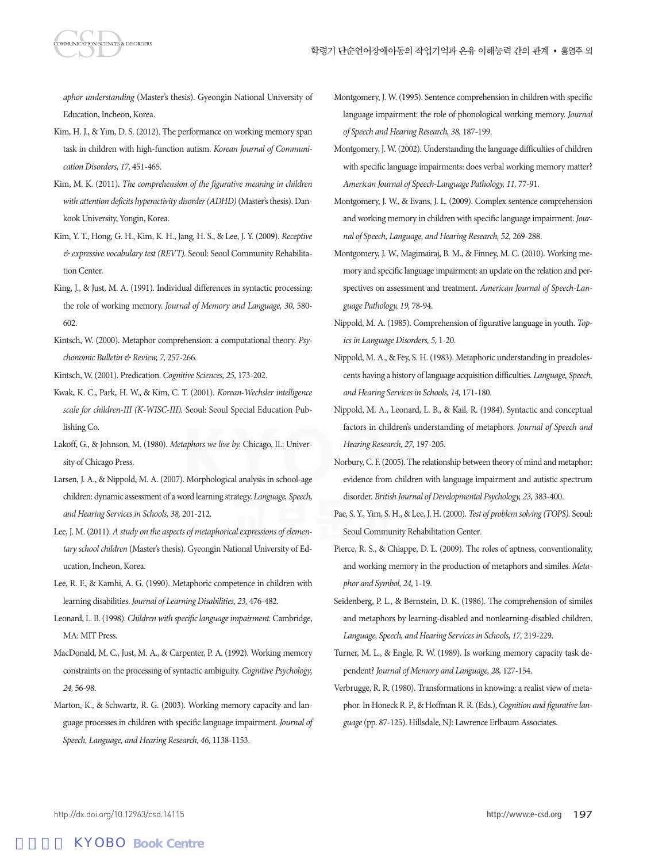*aphor understanding* (Master's thesis). Gyeongin National University of Education, Incheon, Korea.

- Kim, H. J., & Yim, D. S. (2012). The performance on working memory span task in children with high-function autism. *Korean Journal of Communication Disorders, 17,* 451-465.
- Kim, M. K. (2011). *The comprehension of the figurative meaning in children with attention deficits hyperactivity disorder (ADHD)* (Master's thesis). Dankook University, Yongin, Korea.
- Kim, Y. T., Hong, G. H., Kim, K. H., Jang, H. S., & Lee, J. Y. (2009). *Receptive & expressive vocabulary test (REVT).* Seoul: Seoul Community Rehabilitation Center.
- King, J., & Just, M. A. (1991). Individual differences in syntactic processing: the role of working memory. *Journal of Memory and Language, 30,* 580- 602.
- Kintsch, W. (2000). Metaphor comprehension: a computational theory. *Psychonomic Bulletin & Review, 7,* 257-266.
- Kintsch, W. (2001). Predication. *Cognitive Sciences, 25,* 173-202.
- Kwak, K. C., Park, H. W., & Kim, C. T. (2001). *Korean-Wechsler intelligence scale for children-III (K-WISC-III).* Seoul: Seoul Special Education Publishing Co.
- Lakoff, G., & Johnson, M. (1980). *Metaphors we live by.* Chicago, IL: University of Chicago Press.
- Larsen, J. A., & Nippold, M. A. (2007). Morphological analysis in school-age children: dynamic assessment of a word learning strategy. *Language, Speech, and Hearing Services in Schools, 38,* 201-212.
- Lee, J. M. (2011). *A study on the aspects of metaphorical expressions of elementary school children* (Master's thesis). Gyeongin National University of Education, Incheon, Korea.
- Lee, R. F., & Kamhi, A. G. (1990). Metaphoric competence in children with learning disabilities. *Journal of Learning Disabilities, 23,* 476-482.
- Leonard, L. B. (1998). *Children with specific language impairment.* Cambridge, MA: MIT Press.
- MacDonald, M. C., Just, M. A., & Carpenter, P. A. (1992). Working memory constraints on the processing of syntactic ambiguity. *Cognitive Psychology, 24,* 56-98.
- Marton, K., & Schwartz, R. G. (2003). Working memory capacity and language processes in children with specific language impairment. *Journal of Speech, Language, and Hearing Research, 46,* 1138-1153.
- Montgomery, J. W. (1995). Sentence comprehension in children with specific language impairment: the role of phonological working memory. *Journal of Speech and Hearing Research, 38,* 187-199.
- Montgomery, J. W. (2002). Understanding the language difficulties of children with specific language impairments: does verbal working memory matter? *American Journal of Speech-Language Pathology, 11,* 77-91.
- Montgomery, J. W., & Evans, J. L. (2009). Complex sentence comprehension and working memory in children with specific language impairment. *Journal of Speech, Language, and Hearing Research, 52,* 269-288.
- Montgomery, J. W., Magimairaj, B. M., & Finney, M. C. (2010). Working memory and specific language impairment: an update on the relation and perspectives on assessment and treatment. *American Journal of Speech-Language Pathology, 19,* 78-94.
- Nippold, M. A. (1985). Comprehension of figurative language in youth. *Topics in Language Disorders, 5,* 1-20.
- Nippold, M. A., & Fey, S. H. (1983). Metaphoric understanding in preadolescents having a history of language acquisition difficulties. *Language, Speech, and Hearing Services in Schools, 14,* 171-180.
- Nippold, M. A., Leonard, L. B., & Kail, R. (1984). Syntactic and conceptual factors in children's understanding of metaphors. *Journal of Speech and Hearing Research, 27,* 197-205.
- Norbury, C. F. (2005). The relationship between theory of mind and metaphor: evidence from children with language impairment and autistic spectrum disorder. *British Journal of Developmental Psychology, 23,* 383-400.
- Pae, S. Y., Yim, S. H., & Lee, J. H. (2000). *Test of problem solving (TOPS).* Seoul: Seoul Community Rehabilitation Center.
- Pierce, R. S., & Chiappe, D. L. (2009). The roles of aptness, conventionality, and working memory in the production of metaphors and similes. *Metaphor and Symbol, 24,* 1-19.
- Seidenberg, P. L., & Bernstein, D. K. (1986). The comprehension of similes and metaphors by learning-disabled and nonlearning-disabled children. *Language, Speech, and Hearing Services in Schools, 17,* 219-229.
- Turner, M. L., & Engle, R. W. (1989). Is working memory capacity task dependent? *Journal of Memory and Language, 28,* 127-154.
- Verbrugge, R. R. (1980). Transformations in knowing: a realist view of metaphor. In Honeck R. P., & Hoffman R. R. (Eds.), *Cognition and figurative language* (pp. 87-125). Hillsdale, NJ: Lawrence Erlbaum Associates.

# **KYOBO Book Centre**